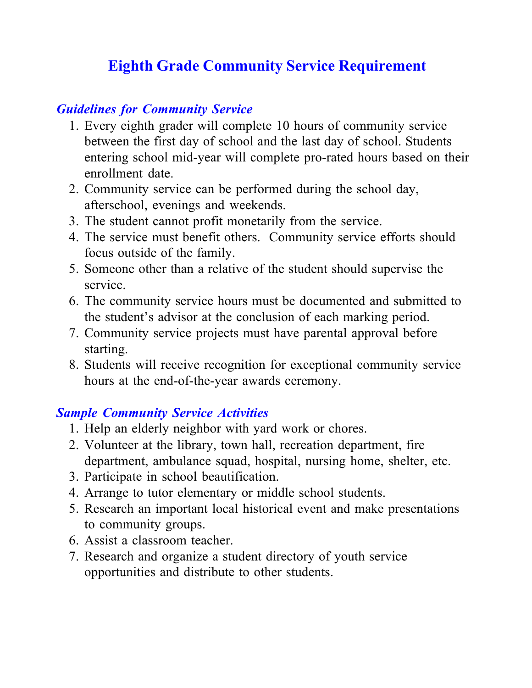## **Eighth Grade Community Service Requirement**

## *Guidelines for Community Service*

- 1. Every eighth grader will complete 10 hours of community service between the first day of school and the last day of school. Students entering school mid-year will complete pro-rated hours based on their enrollment date.
- 2. Community service can be performed during the school day, afterschool, evenings and weekends.
- 3. The student cannot profit monetarily from the service.
- 4. The service must benefit others. Community service efforts should focus outside of the family.
- 5. Someone other than a relative of the student should supervise the service.
- 6. The community service hours must be documented and submitted to the student's advisor at the conclusion of each marking period.
- 7. Community service projects must have parental approval before starting.
- 8. Students will receive recognition for exceptional community service hours at the end-of-the-year awards ceremony.

## *Sample Community Service Activities*

- 1. Help an elderly neighbor with yard work or chores.
- 2. Volunteer at the library, town hall, recreation department, fire department, ambulance squad, hospital, nursing home, shelter, etc.
- 3. Participate in school beautification.
- 4. Arrange to tutor elementary or middle school students.
- 5. Research an important local historical event and make presentations to community groups.
- 6. Assist a classroom teacher.
- 7. Research and organize a student directory of youth service opportunities and distribute to other students.